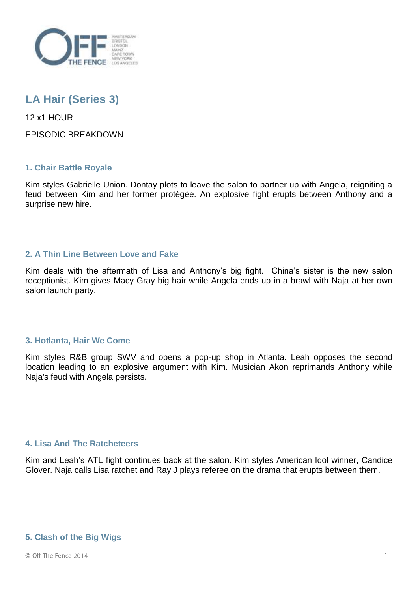

# **LA Hair (Series 3)**

12 x1 HOUR

EPISODIC BREAKDOWN

## **1. Chair Battle Royale**

Kim styles Gabrielle Union. Dontay plots to leave the salon to partner up with Angela, reigniting a feud between Kim and her former protégée. An explosive fight erupts between Anthony and a surprise new hire.

## **2. A Thin Line Between Love and Fake**

Kim deals with the aftermath of Lisa and Anthony's big fight. China's sister is the new salon receptionist. Kim gives Macy Gray big hair while Angela ends up in a brawl with Naja at her own salon launch party.

## **3. Hotlanta, Hair We Come**

Kim styles R&B group SWV and opens a pop-up shop in Atlanta. Leah opposes the second location leading to an explosive argument with Kim. Musician Akon reprimands Anthony while Naja's feud with Angela persists.

## **4. Lisa And The Ratcheteers**

Kim and Leah's ATL fight continues back at the salon. Kim styles American Idol winner, Candice Glover. Naja calls Lisa ratchet and Ray J plays referee on the drama that erupts between them.

## **5. Clash of the Big Wigs**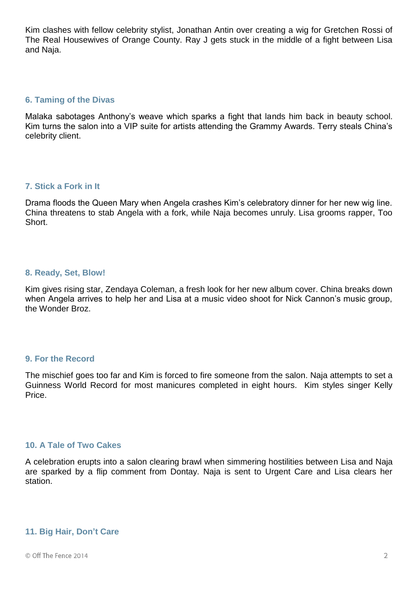Kim clashes with fellow celebrity stylist, Jonathan Antin over creating a wig for Gretchen Rossi of The Real Housewives of Orange County. Ray J gets stuck in the middle of a fight between Lisa and Naja.

#### **6. Taming of the Divas**

Malaka sabotages Anthony's weave which sparks a fight that lands him back in beauty school. Kim turns the salon into a VIP suite for artists attending the Grammy Awards. Terry steals China's celebrity client.

## **7. Stick a Fork in It**

Drama floods the Queen Mary when Angela crashes Kim's celebratory dinner for her new wig line. China threatens to stab Angela with a fork, while Naja becomes unruly. Lisa grooms rapper, Too Short.

### **8. Ready, Set, Blow!**

Kim gives rising star, Zendaya Coleman, a fresh look for her new album cover. China breaks down when Angela arrives to help her and Lisa at a music video shoot for Nick Cannon's music group, the Wonder Broz.

#### **9. For the Record**

The mischief goes too far and Kim is forced to fire someone from the salon. Naja attempts to set a Guinness World Record for most manicures completed in eight hours. Kim styles singer Kelly Price.

## **10. A Tale of Two Cakes**

A celebration erupts into a salon clearing brawl when simmering hostilities between Lisa and Naja are sparked by a flip comment from Dontay. Naja is sent to Urgent Care and Lisa clears her station.

## **11. Big Hair, Don't Care**